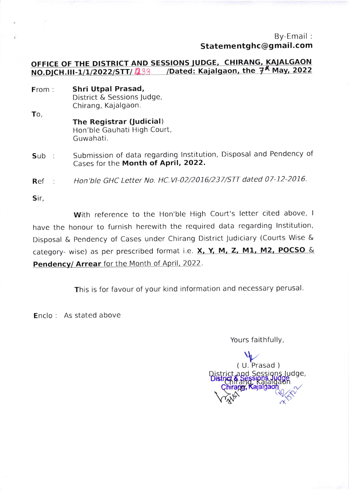By-Email : Statementghc@gmail.com

## OFFICE OF THE DISTRICT AND SESSIONS JUDGE, CHIRANG, KAJALGAON<br>NO.DICH.III-1/1/2022/STT/ 1933 /Dated: Kajalgaon, the 7<sup>K</sup> May, 2022 /Dated: Kajalgaon, the  $7^{\text{A}}$  May, 2022

- From: Shri Utpal Prasad, District & Sessions Judge, Chirang, Kajalgaon.
- To The Registrar (Judicial) Hon'ble Gauhati High Court, Guwahati.
- Sub : Submission of data regarding Institution, Disposal and Pendency of Cases for the Month of April, 2022.

Ref : Hon'ble GHC Letter No. HC.V\-02/2016/237/STT dated 07-12-2016.

Sir,

With reference to the Hon'ble High Court's letter cited above, I have the honour to furnish herewith the required data regarding lnstitution, Disposal & Pendency of Cases under Chirang District Judiciary (Courts Wise & category- wise) as per prescribed format i.e.  $X, Y, M, Z, M1, M2, POCSO &$ Pendency/ Arrear for the Month of April, 2022.

This is for favour of your kind information and necessary perusal.

Enclo : As stated above

Yours faithfully,

di's faithfully<br>( U. Prasad ) Judge,  $\sqrt{ }$